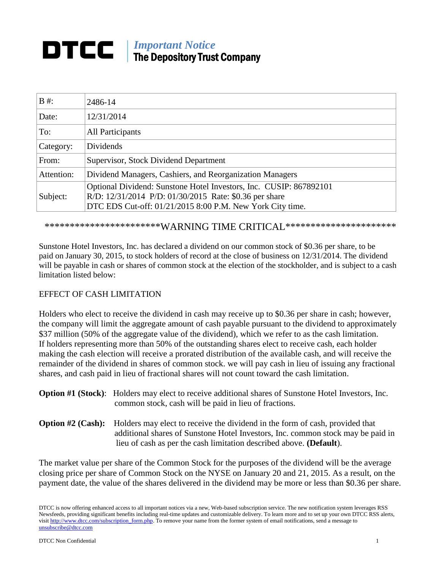# *Important Notice*<br>The Department The Depository Trust Company

| $B \#$ :   | 2486-14                                                            |  |
|------------|--------------------------------------------------------------------|--|
| Date:      | 12/31/2014                                                         |  |
| To:        | <b>All Participants</b>                                            |  |
| Category:  | Dividends                                                          |  |
| From:      | Supervisor, Stock Dividend Department                              |  |
| Attention: | Dividend Managers, Cashiers, and Reorganization Managers           |  |
| Subject:   | Optional Dividend: Sunstone Hotel Investors, Inc. CUSIP: 867892101 |  |
|            | R/D: 12/31/2014 P/D: 01/30/2015 Rate: \$0.36 per share             |  |
|            | DTC EDS Cut-off: 01/21/2015 8:00 P.M. New York City time.          |  |

\*\*\*\*\*\*\*\*\*\*\*\*\*\*\*\*\*\*\*\*\*\*\*\*WARNING TIME CRITICAL\*\*\*\*\*\*\*\*\*\*\*\*\*\*\*\*\*\*\*\*\*\*\*

Sunstone Hotel Investors, Inc. has declared a dividend on our common stock of \$0.36 per share, to be paid on January 30, 2015, to stock holders of record at the close of business on 12/31/2014. The dividend will be payable in cash or shares of common stock at the election of the stockholder, and is subject to a cash limitation listed below:

## EFFECT OF CASH LIMITATION

Holders who elect to receive the dividend in cash may receive up to \$0.36 per share in cash; however, the company will limit the aggregate amount of cash payable pursuant to the dividend to approximately \$37 million (50% of the aggregate value of the dividend), which we refer to as the cash limitation. If holders representing more than 50% of the outstanding shares elect to receive cash, each holder making the cash election will receive a prorated distribution of the available cash, and will receive the remainder of the dividend in shares of common stock. we will pay cash in lieu of issuing any fractional shares, and cash paid in lieu of fractional shares will not count toward the cash limitation.

| <b>Option #1 (Stock):</b> Holders may elect to receive additional shares of Sunstone Hotel Investors, Inc. |
|------------------------------------------------------------------------------------------------------------|
| common stock, cash will be paid in lieu of fractions.                                                      |

**Option #2 (Cash):** Holders may elect to receive the dividend in the form of cash, provided that additional shares of Sunstone Hotel Investors, Inc. common stock may be paid in lieu of cash as per the cash limitation described above. **(Default**).

The market value per share of the Common Stock for the purposes of the dividend will be the average closing price per share of Common Stock on the NYSE on January 20 and 21, 2015. As a result, on the payment date, the value of the shares delivered in the dividend may be more or less than \$0.36 per share.

DTCC is now offering enhanced access to all important notices via a new, Web-based subscription service. The new notification system leverages RSS Newsfeeds, providing significant benefits including real-time updates and customizable delivery. To learn more and to set up your own DTCC RSS alerts, visit [http://www.dtcc.com/subscription\\_form.php.](http://www.dtcc.com/subscription_form.php) To remove your name from the former system of email notifications, send a message to [unsubscribe@dtcc.com](mailto:unsubscribe@dtcc.com)